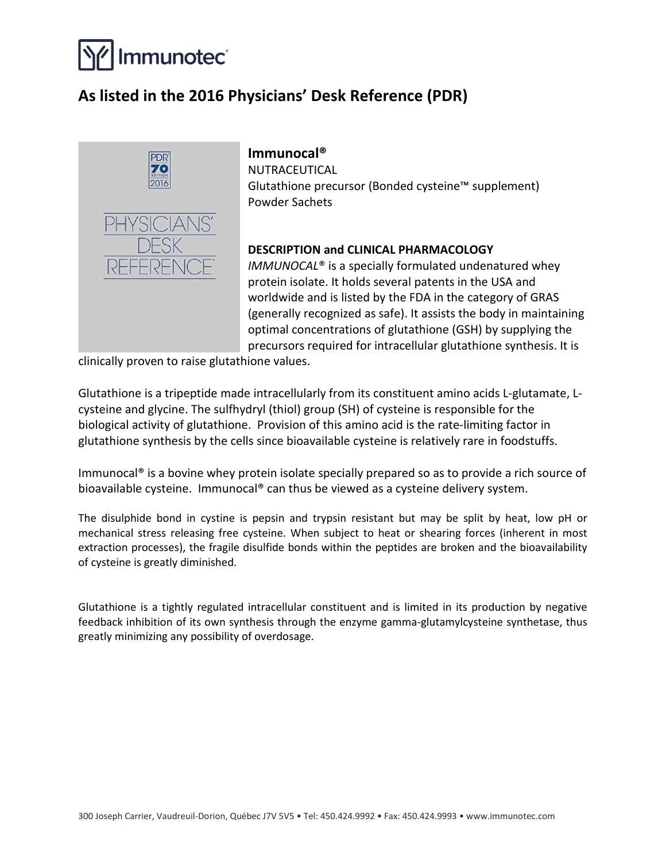

# **As listed in the 2016 Physicians' Desk Reference (PDR)**



# **Immunocal®**

NUTRACEUTICAL Glutathione precursor (Bonded cysteine™ supplement) Powder Sachets

# **DESCRIPTION and CLINICAL PHARMACOLOGY**

*IMMUNOCAL*® is a specially formulated undenatured whey protein isolate. It holds several patents in the USA and worldwide and is listed by the FDA in the category of GRAS (generally recognized as safe). It assists the body in maintaining optimal concentrations of glutathione (GSH) by supplying the precursors required for intracellular glutathione synthesis. It is

clinically proven to raise glutathione values.

Glutathione is a tripeptide made intracellularly from its constituent amino acids L-glutamate, Lcysteine and glycine. The sulfhydryl (thiol) group (SH) of cysteine is responsible for the biological activity of glutathione. Provision of this amino acid is the rate-limiting factor in glutathione synthesis by the cells since bioavailable cysteine is relatively rare in foodstuffs.

Immunocal® is a bovine whey protein isolate specially prepared so as to provide a rich source of bioavailable cysteine. Immunocal® can thus be viewed as a cysteine delivery system.

The disulphide bond in cystine is pepsin and trypsin resistant but may be split by heat, low pH or mechanical stress releasing free cysteine. When subject to heat or shearing forces (inherent in most extraction processes), the fragile disulfide bonds within the peptides are broken and the bioavailability of cysteine is greatly diminished.

Glutathione is a tightly regulated intracellular constituent and is limited in its production by negative feedback inhibition of its own synthesis through the enzyme gamma-glutamylcysteine synthetase, thus greatly minimizing any possibility of overdosage.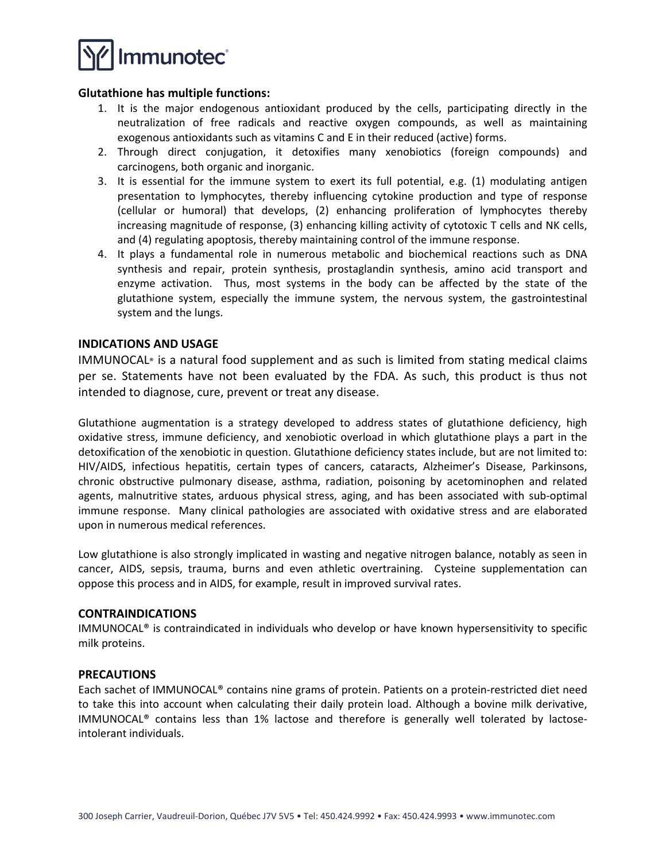

#### **Glutathione has multiple functions:**

- 1. It is the major endogenous antioxidant produced by the cells, participating directly in the neutralization of free radicals and reactive oxygen compounds, as well as maintaining exogenous antioxidants such as vitamins C and E in their reduced (active) forms.
- 2. Through direct conjugation, it detoxifies many xenobiotics (foreign compounds) and carcinogens, both organic and inorganic.
- 3. It is essential for the immune system to exert its full potential, e.g. (1) modulating antigen presentation to lymphocytes, thereby influencing cytokine production and type of response (cellular or humoral) that develops, (2) enhancing proliferation of lymphocytes thereby increasing magnitude of response, (3) enhancing killing activity of cytotoxic T cells and NK cells, and (4) regulating apoptosis, thereby maintaining control of the immune response.
- 4. It plays a fundamental role in numerous metabolic and biochemical reactions such as DNA synthesis and repair, protein synthesis, prostaglandin synthesis, amino acid transport and enzyme activation. Thus, most systems in the body can be affected by the state of the glutathione system, especially the immune system, the nervous system, the gastrointestinal system and the lungs.

#### **INDICATIONS AND USAGE**

IMMUNOCAL® is a natural food supplement and as such is limited from stating medical claims per se. Statements have not been evaluated by the FDA. As such, this product is thus not intended to diagnose, cure, prevent or treat any disease.

Glutathione augmentation is a strategy developed to address states of glutathione deficiency, high oxidative stress, immune deficiency, and xenobiotic overload in which glutathione plays a part in the detoxification of the xenobiotic in question. Glutathione deficiency states include, but are not limited to: HIV/AIDS, infectious hepatitis, certain types of cancers, cataracts, Alzheimer's Disease, Parkinsons, chronic obstructive pulmonary disease, asthma, radiation, poisoning by acetominophen and related agents, malnutritive states, arduous physical stress, aging, and has been associated with sub-optimal immune response. Many clinical pathologies are associated with oxidative stress and are elaborated upon in numerous medical references.

Low glutathione is also strongly implicated in wasting and negative nitrogen balance, notably as seen in cancer, AIDS, sepsis, trauma, burns and even athletic overtraining. Cysteine supplementation can oppose this process and in AIDS, for example, result in improved survival rates.

#### **CONTRAINDICATIONS**

IMMUNOCAL® is contraindicated in individuals who develop or have known hypersensitivity to specific milk proteins.

#### **PRECAUTIONS**

Each sachet of IMMUNOCAL® contains nine grams of protein. Patients on a protein-restricted diet need to take this into account when calculating their daily protein load. Although a bovine milk derivative, IMMUNOCAL® contains less than 1% lactose and therefore is generally well tolerated by lactoseintolerant individuals.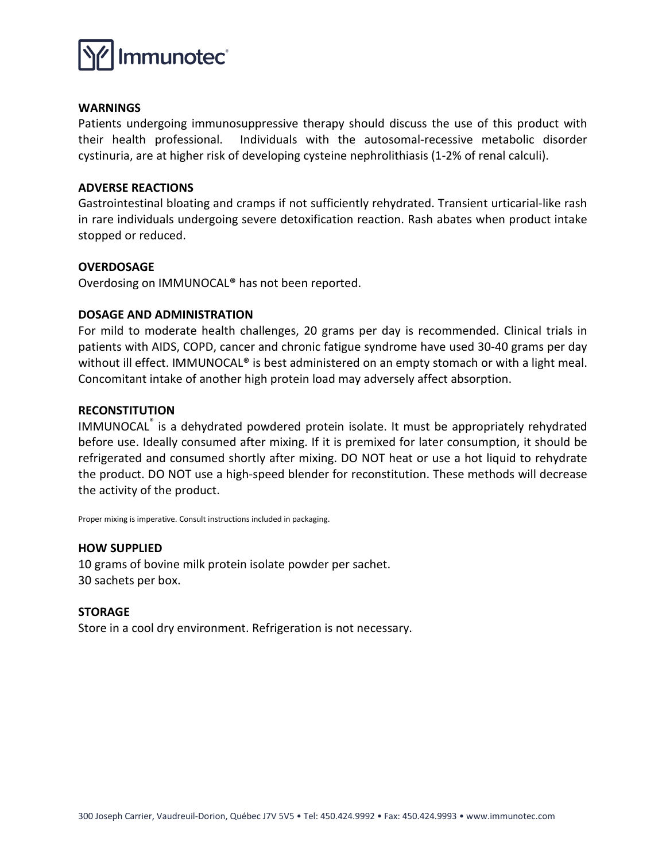

#### **WARNINGS**

Patients undergoing immunosuppressive therapy should discuss the use of this product with their health professional. Individuals with the autosomal-recessive metabolic disorder cystinuria, are at higher risk of developing cysteine nephrolithiasis (1-2% of renal calculi).

#### **ADVERSE REACTIONS**

Gastrointestinal bloating and cramps if not sufficiently rehydrated. Transient urticarial-like rash in rare individuals undergoing severe detoxification reaction. Rash abates when product intake stopped or reduced.

# **OVERDOSAGE**

Overdosing on IMMUNOCAL® has not been reported.

# **DOSAGE AND ADMINISTRATION**

For mild to moderate health challenges, 20 grams per day is recommended. Clinical trials in patients with AIDS, COPD, cancer and chronic fatigue syndrome have used 30-40 grams per day without ill effect. IMMUNOCAL<sup>®</sup> is best administered on an empty stomach or with a light meal. Concomitant intake of another high protein load may adversely affect absorption.

# **RECONSTITUTION**

IMMUNOCAL® is a dehydrated powdered protein isolate. It must be appropriately rehydrated before use. Ideally consumed after mixing. If it is premixed for later consumption, it should be refrigerated and consumed shortly after mixing. DO NOT heat or use a hot liquid to rehydrate the product. DO NOT use a high-speed blender for reconstitution. These methods will decrease the activity of the product.

Proper mixing is imperative. Consult instructions included in packaging.

#### **HOW SUPPLIED**

10 grams of bovine milk protein isolate powder per sachet. 30 sachets per box.

#### **STORAGE**

Store in a cool dry environment. Refrigeration is not necessary.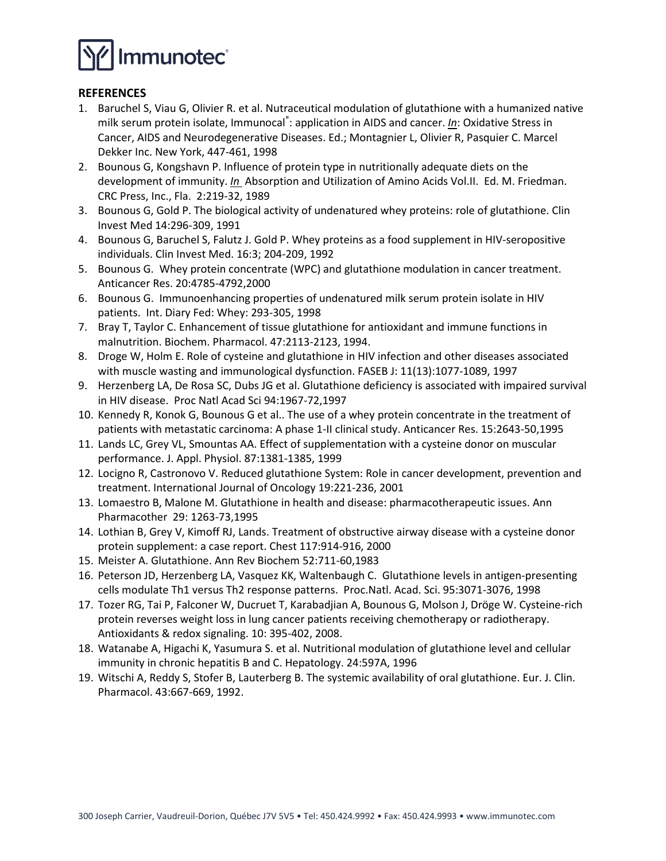

#### **REFERENCES**

- 1. Baruchel S, Viau G, Olivier R. et al. Nutraceutical modulation of glutathione with a humanized native milk serum protein isolate, Immunocal®: application in AIDS and cancer. *In*: Oxidative Stress in Cancer, AIDS and Neurodegenerative Diseases. Ed.; Montagnier L, Olivier R, Pasquier C. Marcel Dekker Inc. New York, 447-461, 1998
- 2. Bounous G, Kongshavn P. Influence of protein type in nutritionally adequate diets on the development of immunity. *In* Absorption and Utilization of Amino Acids Vol.II. Ed. M. Friedman. CRC Press, Inc., Fla. 2:219-32, 1989
- 3. Bounous G, Gold P. The biological activity of undenatured whey proteins: role of glutathione. Clin Invest Med 14:296-309, 1991
- 4. Bounous G, Baruchel S, Falutz J. Gold P. Whey proteins as a food supplement in HIV-seropositive individuals. Clin Invest Med. 16:3; 204-209, 1992
- 5. Bounous G. Whey protein concentrate (WPC) and glutathione modulation in cancer treatment. Anticancer Res. 20:4785-4792,2000
- 6. Bounous G. Immunoenhancing properties of undenatured milk serum protein isolate in HIV patients. Int. Diary Fed: Whey: 293-305, 1998
- 7. Bray T, Taylor C. Enhancement of tissue glutathione for antioxidant and immune functions in malnutrition. Biochem. Pharmacol. 47:2113-2123, 1994.
- 8. Droge W, Holm E. Role of cysteine and glutathione in HIV infection and other diseases associated with muscle wasting and immunological dysfunction. FASEB J: 11(13):1077-1089, 1997
- 9. Herzenberg LA, De Rosa SC, Dubs JG et al. Glutathione deficiency is associated with impaired survival in HIV disease. Proc Natl Acad Sci 94:1967-72,1997
- 10. Kennedy R, Konok G, Bounous G et al.. The use of a whey protein concentrate in the treatment of patients with metastatic carcinoma: A phase 1-II clinical study. Anticancer Res. 15:2643-50,1995
- 11. Lands LC, Grey VL, Smountas AA. Effect of supplementation with a cysteine donor on muscular performance. J. Appl. Physiol. 87:1381-1385, 1999
- 12. Locigno R, Castronovo V. Reduced glutathione System: Role in cancer development, prevention and treatment. International Journal of Oncology 19:221-236, 2001
- 13. Lomaestro B, Malone M. Glutathione in health and disease: pharmacotherapeutic issues. Ann Pharmacother 29: 1263-73,1995
- 14. Lothian B, Grey V, Kimoff RJ, Lands. Treatment of obstructive airway disease with a cysteine donor protein supplement: a case report. Chest 117:914-916, 2000
- 15. Meister A. Glutathione. Ann Rev Biochem 52:711-60,1983
- 16. Peterson JD, Herzenberg LA, Vasquez KK, Waltenbaugh C. Glutathione levels in antigen-presenting cells modulate Th1 versus Th2 response patterns. Proc.Natl. Acad. Sci. 95:3071-3076, 1998
- 17. Tozer RG, Tai P, Falconer W, Ducruet T, Karabadjian A, Bounous G, Molson J, Dröge W. Cysteine-rich protein reverses weight loss in lung cancer patients receiving chemotherapy or radiotherapy. Antioxidants & redox signaling. 10: 395-402, 2008.
- 18. Watanabe A, Higachi K, Yasumura S. et al. Nutritional modulation of glutathione level and cellular immunity in chronic hepatitis B and C. Hepatology. 24:597A, 1996
- 19. Witschi A, Reddy S, Stofer B, Lauterberg B. The systemic availability of oral glutathione. Eur. J. Clin. Pharmacol. 43:667-669, 1992.